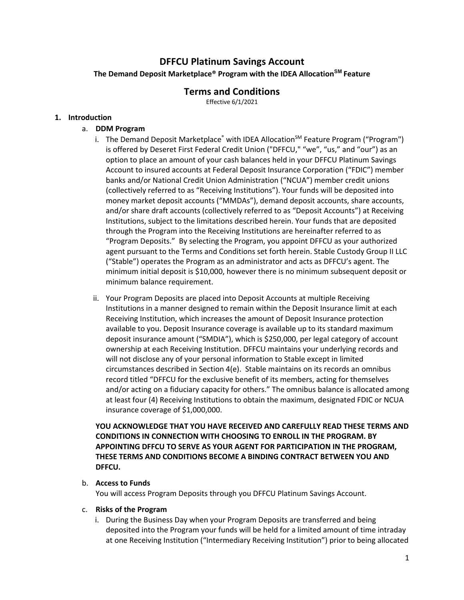# **DFFCU Platinum Savings Account**

**The Demand Deposit Marketplace® Program with the IDEA AllocationSM Feature**

## **Terms and Conditions**

Effective 6/1/2021

## **1. Introduction**

## a. **DDM Program**

- i. The Demand Deposit Marketplace<sup>®</sup> with IDEA Allocation<sup>SM</sup> Feature Program ("Program") is offered by Deseret First Federal Credit Union ("DFFCU," "we", "us," and "our") as an option to place an amount of your cash balances held in your DFFCU Platinum Savings Account to insured accounts at Federal Deposit Insurance Corporation ("FDIC") member banks and/or National Credit Union Administration ("NCUA") member credit unions (collectively referred to as "Receiving Institutions"). Your funds will be deposited into money market deposit accounts ("MMDAs"), demand deposit accounts, share accounts, and/or share draft accounts (collectively referred to as "Deposit Accounts") at Receiving Institutions, subject to the limitations described herein. Your funds that are deposited through the Program into the Receiving Institutions are hereinafter referred to as "Program Deposits." By selecting the Program, you appoint DFFCU as your authorized agent pursuant to the Terms and Conditions set forth herein. Stable Custody Group II LLC ("Stable") operates the Program as an administrator and acts as DFFCU's agent. The minimum initial deposit is \$10,000, however there is no minimum subsequent deposit or minimum balance requirement.
- ii. Your Program Deposits are placed into Deposit Accounts at multiple Receiving Institutions in a manner designed to remain within the Deposit Insurance limit at each Receiving Institution, which increases the amount of Deposit Insurance protection available to you. Deposit Insurance coverage is available up to its standard maximum deposit insurance amount ("SMDIA"), which is \$250,000, per legal category of account ownership at each Receiving Institution. DFFCU maintains your underlying records and will not disclose any of your personal information to Stable except in limited circumstances described in Section 4(e). Stable maintains on its records an omnibus record titled "DFFCU for the exclusive benefit of its members, acting for themselves and/or acting on a fiduciary capacity for others." The omnibus balance is allocated among at least four (4) Receiving Institutions to obtain the maximum, designated FDIC or NCUA insurance coverage of \$1,000,000.

**YOU ACKNOWLEDGE THAT YOU HAVE RECEIVED AND CAREFULLY READ THESE TERMS AND CONDITIONS IN CONNECTION WITH CHOOSING TO ENROLL IN THE PROGRAM. BY APPOINTING DFFCU TO SERVE AS YOUR AGENT FOR PARTICIPATION IN THE PROGRAM, THESE TERMS AND CONDITIONS BECOME A BINDING CONTRACT BETWEEN YOU AND DFFCU.**

## b. **Access to Funds**

You will access Program Deposits through you DFFCU Platinum Savings Account.

#### c. **Risks of the Program**

i. During the Business Day when your Program Deposits are transferred and being deposited into the Program your funds will be held for a limited amount of time intraday at one Receiving Institution ("Intermediary Receiving Institution") prior to being allocated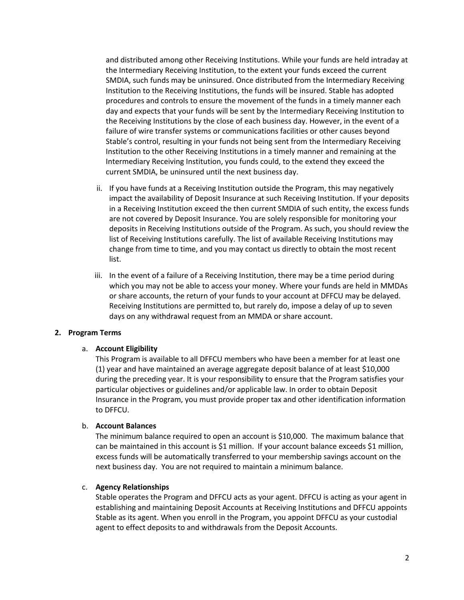and distributed among other Receiving Institutions. While your funds are held intraday at the Intermediary Receiving Institution, to the extent your funds exceed the current SMDIA, such funds may be uninsured. Once distributed from the Intermediary Receiving Institution to the Receiving Institutions, the funds will be insured. Stable has adopted procedures and controls to ensure the movement of the funds in a timely manner each day and expects that your funds will be sent by the Intermediary Receiving Institution to the Receiving Institutions by the close of each business day. However, in the event of a failure of wire transfer systems or communications facilities or other causes beyond Stable's control, resulting in your funds not being sent from the Intermediary Receiving Institution to the other Receiving Institutions in a timely manner and remaining at the Intermediary Receiving Institution, you funds could, to the extend they exceed the current SMDIA, be uninsured until the next business day.

- ii. If you have funds at a Receiving Institution outside the Program, this may negatively impact the availability of Deposit Insurance at such Receiving Institution. If your deposits in a Receiving Institution exceed the then current SMDIA of such entity, the excess funds are not covered by Deposit Insurance. You are solely responsible for monitoring your deposits in Receiving Institutions outside of the Program. As such, you should review the list of Receiving Institutions carefully. The list of available Receiving Institutions may change from time to time, and you may contact us directly to obtain the most recent list.
- iii. In the event of a failure of a Receiving Institution, there may be a time period during which you may not be able to access your money. Where your funds are held in MMDAs or share accounts, the return of your funds to your account at DFFCU may be delayed. Receiving Institutions are permitted to, but rarely do, impose a delay of up to seven days on any withdrawal request from an MMDA or share account.

#### **2. Program Terms**

#### a. **Account Eligibility**

This Program is available to all DFFCU members who have been a member for at least one (1) year and have maintained an average aggregate deposit balance of at least \$10,000 during the preceding year. It is your responsibility to ensure that the Program satisfies your particular objectives or guidelines and/or applicable law. In order to obtain Deposit Insurance in the Program, you must provide proper tax and other identification information to DFFCU.

#### b. **Account Balances**

The minimum balance required to open an account is \$10,000. The maximum balance that can be maintained in this account is \$1 million. If your account balance exceeds \$1 million, excess funds will be automatically transferred to your membership savings account on the next business day. You are not required to maintain a minimum balance.

#### c. **Agency Relationships**

Stable operates the Program and DFFCU acts as your agent. DFFCU is acting as your agent in establishing and maintaining Deposit Accounts at Receiving Institutions and DFFCU appoints Stable as its agent. When you enroll in the Program, you appoint DFFCU as your custodial agent to effect deposits to and withdrawals from the Deposit Accounts.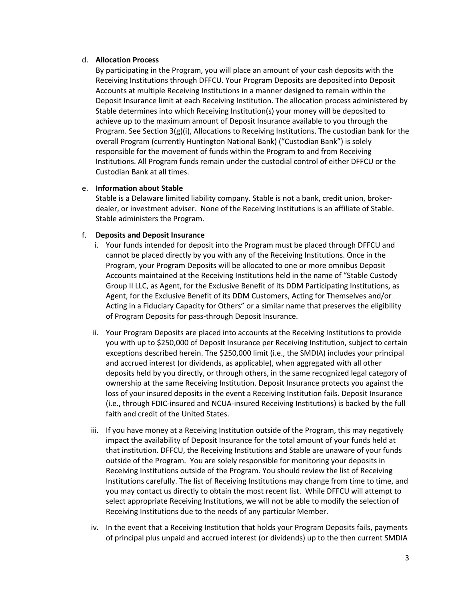## d. **Allocation Process**

By participating in the Program, you will place an amount of your cash deposits with the Receiving Institutions through DFFCU. Your Program Deposits are deposited into Deposit Accounts at multiple Receiving Institutions in a manner designed to remain within the Deposit Insurance limit at each Receiving Institution. The allocation process administered by Stable determines into which Receiving Institution(s) your money will be deposited to achieve up to the maximum amount of Deposit Insurance available to you through the Program. See Section  $3(g)(i)$ , Allocations to Receiving Institutions. The custodian bank for the overall Program (currently Huntington National Bank) ("Custodian Bank") is solely responsible for the movement of funds within the Program to and from Receiving Institutions. All Program funds remain under the custodial control of either DFFCU or the Custodian Bank at all times.

## e. **Information about Stable**

Stable is a Delaware limited liability company. Stable is not a bank, credit union, brokerdealer, or investment adviser. None of the Receiving Institutions is an affiliate of Stable. Stable administers the Program.

### f. **Deposits and Deposit Insurance**

- i. Your funds intended for deposit into the Program must be placed through DFFCU and cannot be placed directly by you with any of the Receiving Institutions. Once in the Program, your Program Deposits will be allocated to one or more omnibus Deposit Accounts maintained at the Receiving Institutions held in the name of "Stable Custody Group II LLC, as Agent, for the Exclusive Benefit of its DDM Participating Institutions, as Agent, for the Exclusive Benefit of its DDM Customers, Acting for Themselves and/or Acting in a Fiduciary Capacity for Others" or a similar name that preserves the eligibility of Program Deposits for pass-through Deposit Insurance.
- ii. Your Program Deposits are placed into accounts at the Receiving Institutions to provide you with up to \$250,000 of Deposit Insurance per Receiving Institution, subject to certain exceptions described herein. The \$250,000 limit (i.e., the SMDIA) includes your principal and accrued interest (or dividends, as applicable), when aggregated with all other deposits held by you directly, or through others, in the same recognized legal category of ownership at the same Receiving Institution. Deposit Insurance protects you against the loss of your insured deposits in the event a Receiving Institution fails. Deposit Insurance (i.e., through FDIC-insured and NCUA-insured Receiving Institutions) is backed by the full faith and credit of the United States.
- iii. If you have money at a Receiving Institution outside of the Program, this may negatively impact the availability of Deposit Insurance for the total amount of your funds held at that institution. DFFCU, the Receiving Institutions and Stable are unaware of your funds outside of the Program. You are solely responsible for monitoring your deposits in Receiving Institutions outside of the Program. You should review the list of Receiving Institutions carefully. The list of Receiving Institutions may change from time to time, and you may contact us directly to obtain the most recent list. While DFFCU will attempt to select appropriate Receiving Institutions, we will not be able to modify the selection of Receiving Institutions due to the needs of any particular Member.
- iv. In the event that a Receiving Institution that holds your Program Deposits fails, payments of principal plus unpaid and accrued interest (or dividends) up to the then current SMDIA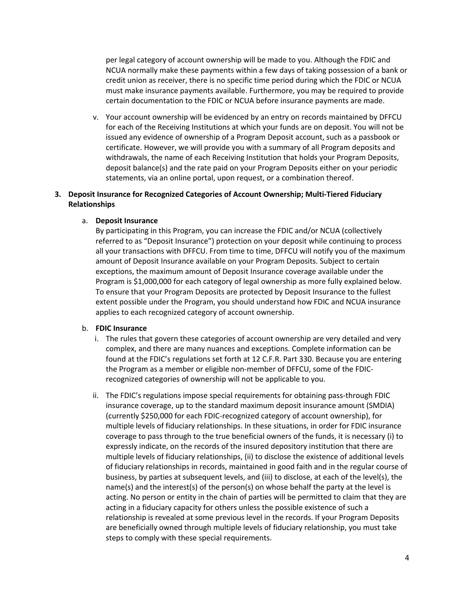per legal category of account ownership will be made to you. Although the FDIC and NCUA normally make these payments within a few days of taking possession of a bank or credit union as receiver, there is no specific time period during which the FDIC or NCUA must make insurance payments available. Furthermore, you may be required to provide certain documentation to the FDIC or NCUA before insurance payments are made.

v. Your account ownership will be evidenced by an entry on records maintained by DFFCU for each of the Receiving Institutions at which your funds are on deposit. You will not be issued any evidence of ownership of a Program Deposit account, such as a passbook or certificate. However, we will provide you with a summary of all Program deposits and withdrawals, the name of each Receiving Institution that holds your Program Deposits, deposit balance(s) and the rate paid on your Program Deposits either on your periodic statements, via an online portal, upon request, or a combination thereof.

## **3. Deposit Insurance for Recognized Categories of Account Ownership; Multi-Tiered Fiduciary Relationships**

#### a. **Deposit Insurance**

By participating in this Program, you can increase the FDIC and/or NCUA (collectively referred to as "Deposit Insurance") protection on your deposit while continuing to process all your transactions with DFFCU. From time to time, DFFCU will notify you of the maximum amount of Deposit Insurance available on your Program Deposits. Subject to certain exceptions, the maximum amount of Deposit Insurance coverage available under the Program is \$1,000,000 for each category of legal ownership as more fully explained below. To ensure that your Program Deposits are protected by Deposit Insurance to the fullest extent possible under the Program, you should understand how FDIC and NCUA insurance applies to each recognized category of account ownership.

#### b. **FDIC Insurance**

- i. The rules that govern these categories of account ownership are very detailed and very complex, and there are many nuances and exceptions. Complete information can be found at the FDIC's regulations set forth at 12 C.F.R. Part 330. Because you are entering the Program as a member or eligible non-member of DFFCU, some of the FDICrecognized categories of ownership will not be applicable to you.
- ii. The FDIC's regulations impose special requirements for obtaining pass-through FDIC insurance coverage, up to the standard maximum deposit insurance amount (SMDIA) (currently \$250,000 for each FDIC-recognized category of account ownership), for multiple levels of fiduciary relationships. In these situations, in order for FDIC insurance coverage to pass through to the true beneficial owners of the funds, it is necessary (i) to expressly indicate, on the records of the insured depository institution that there are multiple levels of fiduciary relationships, (ii) to disclose the existence of additional levels of fiduciary relationships in records, maintained in good faith and in the regular course of business, by parties at subsequent levels, and (iii) to disclose, at each of the level(s), the name(s) and the interest(s) of the person(s) on whose behalf the party at the level is acting. No person or entity in the chain of parties will be permitted to claim that they are acting in a fiduciary capacity for others unless the possible existence of such a relationship is revealed at some previous level in the records. If your Program Deposits are beneficially owned through multiple levels of fiduciary relationship, you must take steps to comply with these special requirements.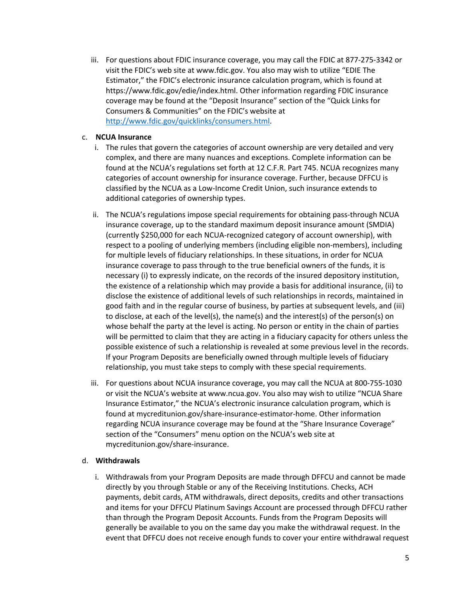iii. For questions about FDIC insurance coverage, you may call the FDIC at 877-275-3342 or visit the FDIC's web site at www.fdic.gov. You also may wish to utilize "EDIE The Estimator," the FDIC's electronic insurance calculation program, which is found at https://www.fdic.gov/edie/index.html. Other information regarding FDIC insurance coverage may be found at the "Deposit Insurance" section of the "Quick Links for Consumers & Communities" on the FDIC's website at http://www.fdic.gov/quicklinks/consumers.html.

## c. **NCUA Insurance**

- i. The rules that govern the categories of account ownership are very detailed and very complex, and there are many nuances and exceptions. Complete information can be found at the NCUA's regulations set forth at 12 C.F.R. Part 745. NCUA recognizes many categories of account ownership for insurance coverage. Further, because DFFCU is classified by the NCUA as a Low-Income Credit Union, such insurance extends to additional categories of ownership types.
- ii. The NCUA's regulations impose special requirements for obtaining pass-through NCUA insurance coverage, up to the standard maximum deposit insurance amount (SMDIA) (currently \$250,000 for each NCUA-recognized category of account ownership), with respect to a pooling of underlying members (including eligible non-members), including for multiple levels of fiduciary relationships. In these situations, in order for NCUA insurance coverage to pass through to the true beneficial owners of the funds, it is necessary (i) to expressly indicate, on the records of the insured depository institution, the existence of a relationship which may provide a basis for additional insurance, (ii) to disclose the existence of additional levels of such relationships in records, maintained in good faith and in the regular course of business, by parties at subsequent levels, and (iii) to disclose, at each of the level(s), the name(s) and the interest(s) of the person(s) on whose behalf the party at the level is acting. No person or entity in the chain of parties will be permitted to claim that they are acting in a fiduciary capacity for others unless the possible existence of such a relationship is revealed at some previous level in the records. If your Program Deposits are beneficially owned through multiple levels of fiduciary relationship, you must take steps to comply with these special requirements.
- iii. For questions about NCUA insurance coverage, you may call the NCUA at 800-755-1030 or visit the NCUA's website at www.ncua.gov. You also may wish to utilize "NCUA Share Insurance Estimator," the NCUA's electronic insurance calculation program, which is found at mycreditunion.gov/share-insurance-estimator-home. Other information regarding NCUA insurance coverage may be found at the "Share Insurance Coverage" section of the "Consumers" menu option on the NCUA's web site at mycreditunion.gov/share-insurance.

## d. **Withdrawals**

i. Withdrawals from your Program Deposits are made through DFFCU and cannot be made directly by you through Stable or any of the Receiving Institutions. Checks, ACH payments, debit cards, ATM withdrawals, direct deposits, credits and other transactions and items for your DFFCU Platinum Savings Account are processed through DFFCU rather than through the Program Deposit Accounts. Funds from the Program Deposits will generally be available to you on the same day you make the withdrawal request. In the event that DFFCU does not receive enough funds to cover your entire withdrawal request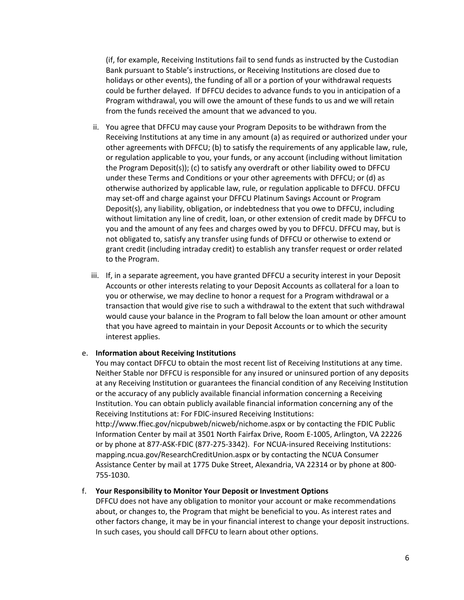(if, for example, Receiving Institutions fail to send funds as instructed by the Custodian Bank pursuant to Stable's instructions, or Receiving Institutions are closed due to holidays or other events), the funding of all or a portion of your withdrawal requests could be further delayed. If DFFCU decides to advance funds to you in anticipation of a Program withdrawal, you will owe the amount of these funds to us and we will retain from the funds received the amount that we advanced to you.

- ii. You agree that DFFCU may cause your Program Deposits to be withdrawn from the Receiving Institutions at any time in any amount (a) as required or authorized under your other agreements with DFFCU; (b) to satisfy the requirements of any applicable law, rule, or regulation applicable to you, your funds, or any account (including without limitation the Program Deposit(s)); (c) to satisfy any overdraft or other liability owed to DFFCU under these Terms and Conditions or your other agreements with DFFCU; or (d) as otherwise authorized by applicable law, rule, or regulation applicable to DFFCU. DFFCU may set-off and charge against your DFFCU Platinum Savings Account or Program Deposit(s), any liability, obligation, or indebtedness that you owe to DFFCU, including without limitation any line of credit, loan, or other extension of credit made by DFFCU to you and the amount of any fees and charges owed by you to DFFCU. DFFCU may, but is not obligated to, satisfy any transfer using funds of DFFCU or otherwise to extend or grant credit (including intraday credit) to establish any transfer request or order related to the Program.
- iii. If, in a separate agreement, you have granted DFFCU a security interest in your Deposit Accounts or other interests relating to your Deposit Accounts as collateral for a loan to you or otherwise, we may decline to honor a request for a Program withdrawal or a transaction that would give rise to such a withdrawal to the extent that such withdrawal would cause your balance in the Program to fall below the loan amount or other amount that you have agreed to maintain in your Deposit Accounts or to which the security interest applies.

#### e. **Information about Receiving Institutions**

You may contact DFFCU to obtain the most recent list of Receiving Institutions at any time. Neither Stable nor DFFCU is responsible for any insured or uninsured portion of any deposits at any Receiving Institution or guarantees the financial condition of any Receiving Institution or the accuracy of any publicly available financial information concerning a Receiving Institution. You can obtain publicly available financial information concerning any of the Receiving Institutions at: For FDIC-insured Receiving Institutions:

http://www.ffiec.gov/nicpubweb/nicweb/nichome.aspx or by contacting the FDIC Public Information Center by mail at 3501 North Fairfax Drive, Room E-1005, Arlington, VA 22226 or by phone at 877-ASK-FDIC (877-275-3342). For NCUA-insured Receiving Institutions: mapping.ncua.gov/ResearchCreditUnion.aspx or by contacting the NCUA Consumer Assistance Center by mail at 1775 Duke Street, Alexandria, VA 22314 or by phone at 800- 755-1030.

#### f. **Your Responsibility to Monitor Your Deposit or Investment Options**

DFFCU does not have any obligation to monitor your account or make recommendations about, or changes to, the Program that might be beneficial to you. As interest rates and other factors change, it may be in your financial interest to change your deposit instructions. In such cases, you should call DFFCU to learn about other options.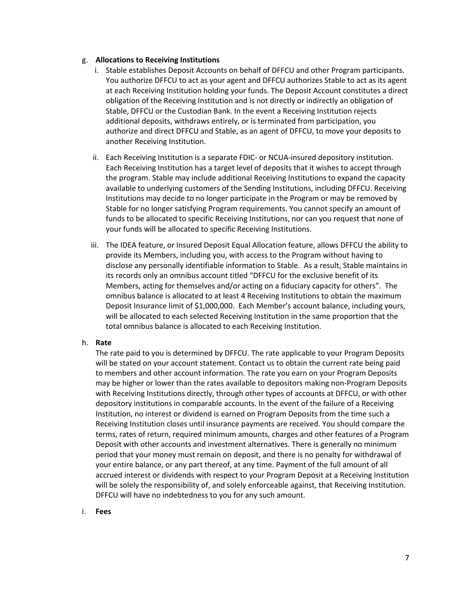### g. **Allocations to Receiving Institutions**

- i. Stable establishes Deposit Accounts on behalf of DFFCU and other Program participants. You authorize DFFCU to act as your agent and DFFCU authorizes Stable to act as its agent at each Receiving Institution holding your funds. The Deposit Account constitutes a direct obligation of the Receiving Institution and is not directly or indirectly an obligation of Stable, DFFCU or the Custodian Bank. In the event a Receiving Institution rejects additional deposits, withdraws entirely, or is terminated from participation, you authorize and direct DFFCU and Stable, as an agent of DFFCU, to move your deposits to another Receiving Institution.
- ii. Each Receiving Institution is a separate FDIC- or NCUA-insured depository institution. Each Receiving Institution has a target level of deposits that it wishes to accept through the program. Stable may include additional Receiving Institutions to expand the capacity available to underlying customers of the Sending Institutions, including DFFCU. Receiving Institutions may decide to no longer participate in the Program or may be removed by Stable for no longer satisfying Program requirements. You cannot specify an amount of funds to be allocated to specific Receiving Institutions, nor can you request that none of your funds will be allocated to specific Receiving Institutions.
- iii. The IDEA feature, or Insured Deposit Equal Allocation feature, allows DFFCU the ability to provide its Members, including you, with access to the Program without having to disclose any personally identifiable information to Stable. As a result, Stable maintains in its records only an omnibus account titled "DFFCU for the exclusive benefit of its Members, acting for themselves and/or acting on a fiduciary capacity for others". The omnibus balance is allocated to at least 4 Receiving Institutions to obtain the maximum Deposit Insurance limit of \$1,000,000. Each Member's account balance, including yours, will be allocated to each selected Receiving Institution in the same proportion that the total omnibus balance is allocated to each Receiving Institution.

#### h. **Rate**

The rate paid to you is determined by DFFCU. The rate applicable to your Program Deposits will be stated on your account statement. Contact us to obtain the current rate being paid to members and other account information. The rate you earn on your Program Deposits may be higher or lower than the rates available to depositors making non-Program Deposits with Receiving Institutions directly, through other types of accounts at DFFCU, or with other depository institutions in comparable accounts. In the event of the failure of a Receiving Institution, no interest or dividend is earned on Program Deposits from the time such a Receiving Institution closes until insurance payments are received. You should compare the terms, rates of return, required minimum amounts, charges and other features of a Program Deposit with other accounts and investment alternatives. There is generally no minimum period that your money must remain on deposit, and there is no penalty for withdrawal of your entire balance, or any part thereof, at any time. Payment of the full amount of all accrued interest or dividends with respect to your Program Deposit at a Receiving Institution will be solely the responsibility of, and solely enforceable against, that Receiving Institution. DFFCU will have no indebtedness to you for any such amount.

i. **Fees**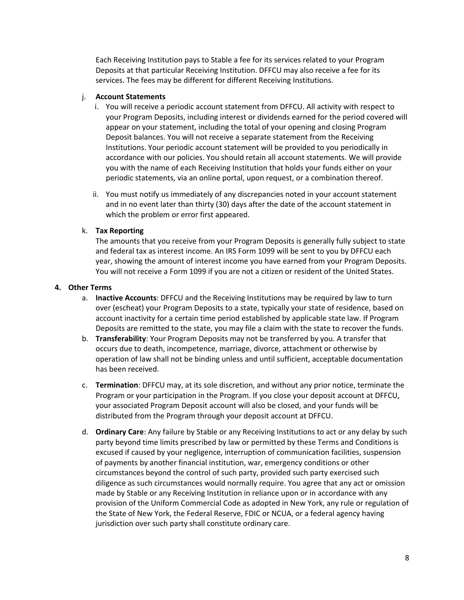Each Receiving Institution pays to Stable a fee for its services related to your Program Deposits at that particular Receiving Institution. DFFCU may also receive a fee for its services. The fees may be different for different Receiving Institutions.

## j. **Account Statements**

- i. You will receive a periodic account statement from DFFCU. All activity with respect to your Program Deposits, including interest or dividends earned for the period covered will appear on your statement, including the total of your opening and closing Program Deposit balances. You will not receive a separate statement from the Receiving Institutions. Your periodic account statement will be provided to you periodically in accordance with our policies. You should retain all account statements. We will provide you with the name of each Receiving Institution that holds your funds either on your periodic statements, via an online portal, upon request, or a combination thereof.
- ii. You must notify us immediately of any discrepancies noted in your account statement and in no event later than thirty (30) days after the date of the account statement in which the problem or error first appeared.

## k. **Tax Reporting**

The amounts that you receive from your Program Deposits is generally fully subject to state and federal tax as interest income. An IRS Form 1099 will be sent to you by DFFCU each year, showing the amount of interest income you have earned from your Program Deposits. You will not receive a Form 1099 if you are not a citizen or resident of the United States.

## **4. Other Terms**

- a. **Inactive Accounts**: DFFCU and the Receiving Institutions may be required by law to turn over (escheat) your Program Deposits to a state, typically your state of residence, based on account inactivity for a certain time period established by applicable state law. If Program Deposits are remitted to the state, you may file a claim with the state to recover the funds.
- b. **Transferability**: Your Program Deposits may not be transferred by you. A transfer that occurs due to death, incompetence, marriage, divorce, attachment or otherwise by operation of law shall not be binding unless and until sufficient, acceptable documentation has been received.
- c. **Termination**: DFFCU may, at its sole discretion, and without any prior notice, terminate the Program or your participation in the Program. If you close your deposit account at DFFCU, your associated Program Deposit account will also be closed, and your funds will be distributed from the Program through your deposit account at DFFCU.
- d. **Ordinary Care**: Any failure by Stable or any Receiving Institutions to act or any delay by such party beyond time limits prescribed by law or permitted by these Terms and Conditions is excused if caused by your negligence, interruption of communication facilities, suspension of payments by another financial institution, war, emergency conditions or other circumstances beyond the control of such party, provided such party exercised such diligence as such circumstances would normally require. You agree that any act or omission made by Stable or any Receiving Institution in reliance upon or in accordance with any provision of the Uniform Commercial Code as adopted in New York, any rule or regulation of the State of New York, the Federal Reserve, FDIC or NCUA, or a federal agency having jurisdiction over such party shall constitute ordinary care.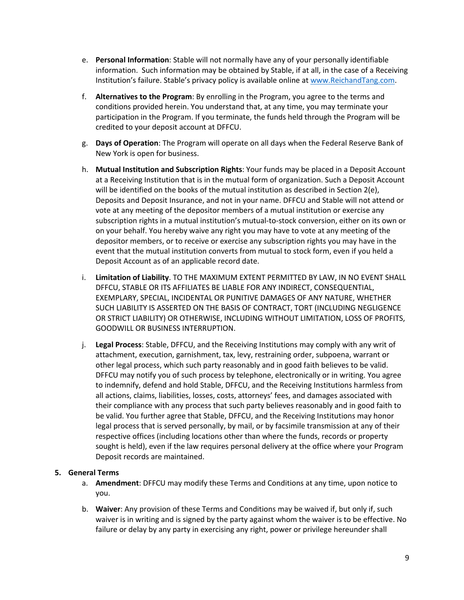- e. **Personal Information**: Stable will not normally have any of your personally identifiable information. Such information may be obtained by Stable, if at all, in the case of a Receiving Institution's failure. Stable's privacy policy is available online at www.ReichandTang.com.
- f. **Alternatives to the Program**: By enrolling in the Program, you agree to the terms and conditions provided herein. You understand that, at any time, you may terminate your participation in the Program. If you terminate, the funds held through the Program will be credited to your deposit account at DFFCU.
- g. **Days of Operation**: The Program will operate on all days when the Federal Reserve Bank of New York is open for business.
- h. **Mutual Institution and Subscription Rights**: Your funds may be placed in a Deposit Account at a Receiving Institution that is in the mutual form of organization. Such a Deposit Account will be identified on the books of the mutual institution as described in Section 2(e), Deposits and Deposit Insurance, and not in your name. DFFCU and Stable will not attend or vote at any meeting of the depositor members of a mutual institution or exercise any subscription rights in a mutual institution's mutual-to-stock conversion, either on its own or on your behalf. You hereby waive any right you may have to vote at any meeting of the depositor members, or to receive or exercise any subscription rights you may have in the event that the mutual institution converts from mutual to stock form, even if you held a Deposit Account as of an applicable record date.
- i. **Limitation of Liability**. TO THE MAXIMUM EXTENT PERMITTED BY LAW, IN NO EVENT SHALL DFFCU, STABLE OR ITS AFFILIATES BE LIABLE FOR ANY INDIRECT, CONSEQUENTIAL, EXEMPLARY, SPECIAL, INCIDENTAL OR PUNITIVE DAMAGES OF ANY NATURE, WHETHER SUCH LIABILITY IS ASSERTED ON THE BASIS OF CONTRACT, TORT (INCLUDING NEGLIGENCE OR STRICT LIABILITY) OR OTHERWISE, INCLUDING WITHOUT LIMITATION, LOSS OF PROFITS, GOODWILL OR BUSINESS INTERRUPTION.
- j. **Legal Process**: Stable, DFFCU, and the Receiving Institutions may comply with any writ of attachment, execution, garnishment, tax, levy, restraining order, subpoena, warrant or other legal process, which such party reasonably and in good faith believes to be valid. DFFCU may notify you of such process by telephone, electronically or in writing. You agree to indemnify, defend and hold Stable, DFFCU, and the Receiving Institutions harmless from all actions, claims, liabilities, losses, costs, attorneys' fees, and damages associated with their compliance with any process that such party believes reasonably and in good faith to be valid. You further agree that Stable, DFFCU, and the Receiving Institutions may honor legal process that is served personally, by mail, or by facsimile transmission at any of their respective offices (including locations other than where the funds, records or property sought is held), even if the law requires personal delivery at the office where your Program Deposit records are maintained.

## **5. General Terms**

- a. **Amendment**: DFFCU may modify these Terms and Conditions at any time, upon notice to you.
- b. **Waiver**: Any provision of these Terms and Conditions may be waived if, but only if, such waiver is in writing and is signed by the party against whom the waiver is to be effective. No failure or delay by any party in exercising any right, power or privilege hereunder shall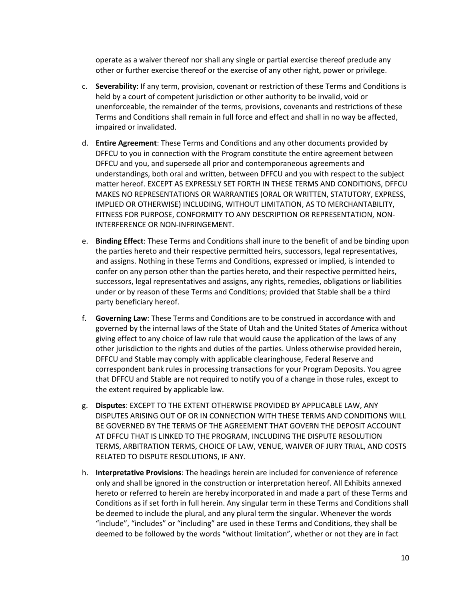operate as a waiver thereof nor shall any single or partial exercise thereof preclude any other or further exercise thereof or the exercise of any other right, power or privilege.

- c. **Severability**: If any term, provision, covenant or restriction of these Terms and Conditions is held by a court of competent jurisdiction or other authority to be invalid, void or unenforceable, the remainder of the terms, provisions, covenants and restrictions of these Terms and Conditions shall remain in full force and effect and shall in no way be affected, impaired or invalidated.
- d. **Entire Agreement**: These Terms and Conditions and any other documents provided by DFFCU to you in connection with the Program constitute the entire agreement between DFFCU and you, and supersede all prior and contemporaneous agreements and understandings, both oral and written, between DFFCU and you with respect to the subject matter hereof. EXCEPT AS EXPRESSLY SET FORTH IN THESE TERMS AND CONDITIONS, DFFCU MAKES NO REPRESENTATIONS OR WARRANTIES (ORAL OR WRITTEN, STATUTORY, EXPRESS, IMPLIED OR OTHERWISE) INCLUDING, WITHOUT LIMITATION, AS TO MERCHANTABILITY, FITNESS FOR PURPOSE, CONFORMITY TO ANY DESCRIPTION OR REPRESENTATION, NON-INTERFERENCE OR NON-INFRINGEMENT.
- e. **Binding Effect**: These Terms and Conditions shall inure to the benefit of and be binding upon the parties hereto and their respective permitted heirs, successors, legal representatives, and assigns. Nothing in these Terms and Conditions, expressed or implied, is intended to confer on any person other than the parties hereto, and their respective permitted heirs, successors, legal representatives and assigns, any rights, remedies, obligations or liabilities under or by reason of these Terms and Conditions; provided that Stable shall be a third party beneficiary hereof.
- f. **Governing Law**: These Terms and Conditions are to be construed in accordance with and governed by the internal laws of the State of Utah and the United States of America without giving effect to any choice of law rule that would cause the application of the laws of any other jurisdiction to the rights and duties of the parties. Unless otherwise provided herein, DFFCU and Stable may comply with applicable clearinghouse, Federal Reserve and correspondent bank rules in processing transactions for your Program Deposits. You agree that DFFCU and Stable are not required to notify you of a change in those rules, except to the extent required by applicable law.
- g. **Disputes**: EXCEPT TO THE EXTENT OTHERWISE PROVIDED BY APPLICABLE LAW, ANY DISPUTES ARISING OUT OF OR IN CONNECTION WITH THESE TERMS AND CONDITIONS WILL BE GOVERNED BY THE TERMS OF THE AGREEMENT THAT GOVERN THE DEPOSIT ACCOUNT AT DFFCU THAT IS LINKED TO THE PROGRAM, INCLUDING THE DISPUTE RESOLUTION TERMS, ARBITRATION TERMS, CHOICE OF LAW, VENUE, WAIVER OF JURY TRIAL, AND COSTS RELATED TO DISPUTE RESOLUTIONS, IF ANY.
- h. **Interpretative Provisions**: The headings herein are included for convenience of reference only and shall be ignored in the construction or interpretation hereof. All Exhibits annexed hereto or referred to herein are hereby incorporated in and made a part of these Terms and Conditions as if set forth in full herein. Any singular term in these Terms and Conditions shall be deemed to include the plural, and any plural term the singular. Whenever the words "include", "includes" or "including" are used in these Terms and Conditions, they shall be deemed to be followed by the words "without limitation", whether or not they are in fact